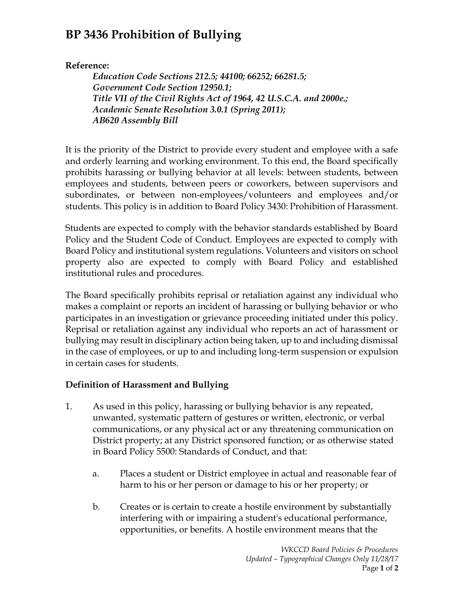## **BP 3436 Prohibition of Bullying**

## **Reference:**

*Education Code Sections 212.5; 44100; 66252; 66281.5; Government Code Section 12950.1; Title VII of the Civil Rights Act of 1964, 42 U.S.C.A. and 2000e.; Academic Senate Resolution 3.0.1 (Spring 2011); AB620 Assembly Bill*

It is the priority of the District to provide every student and employee with a safe and orderly learning and working environment. To this end, the Board specifically prohibits harassing or bullying behavior at all levels: between students, between employees and students, between peers or coworkers, between supervisors and subordinates, or between non-employees/volunteers and employees and/or students. This policy is in addition to Board Policy 3430: Prohibition of Harassment.

Students are expected to comply with the behavior standards established by Board Policy and the Student Code of Conduct. Employees are expected to comply with Board Policy and institutional system regulations. Volunteers and visitors on school property also are expected to comply with Board Policy and established institutional rules and procedures.

The Board specifically prohibits reprisal or retaliation against any individual who makes a complaint or reports an incident of harassing or bullying behavior or who participates in an investigation or grievance proceeding initiated under this policy. Reprisal or retaliation against any individual who reports an act of harassment or bullying may result in disciplinary action being taken, up to and including dismissal in the case of employees, or up to and including long-term suspension or expulsion in certain cases for students.

## **Definition of Harassment and Bullying**

- 1. As used in this policy, harassing or bullying behavior is any repeated, unwanted, systematic pattern of gestures or written, electronic, or verbal communications, or any physical act or any threatening communication on District property; at any District sponsored function; or as otherwise stated in Board Policy 5500: Standards of Conduct, and that:
	- a. Places a student or District employee in actual and reasonable fear of harm to his or her person or damage to his or her property; or
	- b. Creates or is certain to create a hostile environment by substantially interfering with or impairing a student's educational performance, opportunities, or benefits. A hostile environment means that the